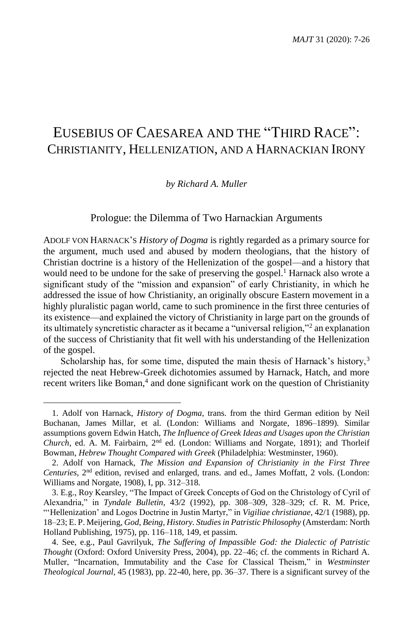# EUSEBIUS OF CAESAREA AND THE "THIRD RACE": CHRISTIANITY, HELLENIZATION, AND A HARNACKIAN IRONY

#### *by Richard A. Muller*

### Prologue: the Dilemma of Two Harnackian Arguments

ADOLF VON HARNACK'S *History of Dogma* is rightly regarded as a primary source for the argument, much used and abused by modern theologians, that the history of Christian doctrine is a history of the Hellenization of the gospel—and a history that would need to be undone for the sake of preserving the gospel.<sup>1</sup> Harnack also wrote a significant study of the "mission and expansion" of early Christianity, in which he addressed the issue of how Christianity, an originally obscure Eastern movement in a highly pluralistic pagan world, came to such prominence in the first three centuries of its existence—and explained the victory of Christianity in large part on the grounds of its ultimately syncretistic character as it became a "universal religion,"<sup>2</sup> an explanation of the success of Christianity that fit well with his understanding of the Hellenization of the gospel.

Scholarship has, for some time, disputed the main thesis of Harnack's history,<sup>3</sup> rejected the neat Hebrew-Greek dichotomies assumed by Harnack, Hatch, and more recent writers like Boman,<sup>4</sup> and done significant work on the question of Christianity

<sup>1.</sup> Adolf von Harnack, *History of Dogma*, trans. from the third German edition by Neil Buchanan, James Millar, et al. (London: Williams and Norgate, 1896–1899). Similar assumptions govern Edwin Hatch, *The Influence of Greek Ideas and Usages upon the Christian Church*, ed. A. M. Fairbairn,  $2<sup>nd</sup>$  ed. (London: Williams and Norgate, 1891); and Thorleif Bowman, *Hebrew Thought Compared with Greek* (Philadelphia: Westminster, 1960).

<sup>2.</sup> Adolf von Harnack, *The Mission and Expansion of Christianity in the First Three Centuries*, 2nd edition, revised and enlarged, trans. and ed., James Moffatt, 2 vols. (London: Williams and Norgate, 1908), I, pp. 312–318.

<sup>3.</sup> E.g., Roy Kearsley, "The Impact of Greek Concepts of God on the Christology of Cyril of Alexandria," in *Tyndale Bulletin*, 43/2 (1992), pp. 308–309, 328–329; cf. R. M. Price, "'Hellenization' and Logos Doctrine in Justin Martyr," in *Vigiliae christianae*, 42/1 (1988), pp. 18–23; E. P. Meijering, *God, Being, History. Studies in Patristic Philosophy* (Amsterdam: North Holland Publishing, 1975), pp. 116–118, 149, et passim.

<sup>4.</sup> See, e.g., Paul Gavrilyuk, *The Suffering of Impassible God: the Dialectic of Patristic Thought* (Oxford: Oxford University Press, 2004), pp. 22–46; cf. the comments in Richard A. Muller, "Incarnation, Immutability and the Case for Classical Theism," in *Westminster Theological Journal,* 45 (1983), pp. 22-40, here, pp. 36–37. There is a significant survey of the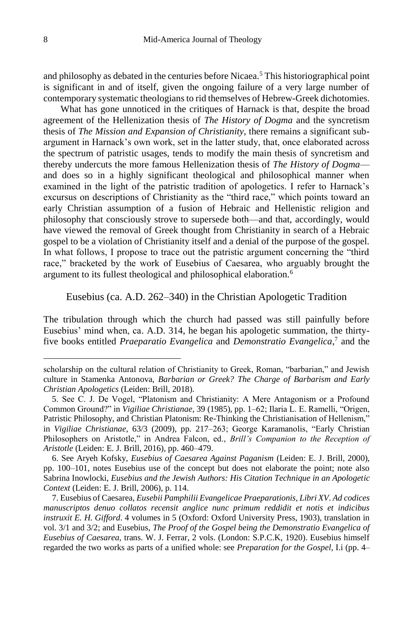and philosophy as debated in the centuries before Nicaea.<sup>5</sup> This historiographical point is significant in and of itself, given the ongoing failure of a very large number of contemporary systematic theologians to rid themselves of Hebrew-Greek dichotomies.

What has gone unnoticed in the critiques of Harnack is that, despite the broad agreement of the Hellenization thesis of *The History of Dogma* and the syncretism thesis of *The Mission and Expansion of Christianity*, there remains a significant subargument in Harnack's own work, set in the latter study, that, once elaborated across the spectrum of patristic usages, tends to modify the main thesis of syncretism and thereby undercuts the more famous Hellenization thesis of *The History of Dogma* and does so in a highly significant theological and philosophical manner when examined in the light of the patristic tradition of apologetics. I refer to Harnack's excursus on descriptions of Christianity as the "third race," which points toward an early Christian assumption of a fusion of Hebraic and Hellenistic religion and philosophy that consciously strove to supersede both—and that, accordingly, would have viewed the removal of Greek thought from Christianity in search of a Hebraic gospel to be a violation of Christianity itself and a denial of the purpose of the gospel. In what follows, I propose to trace out the patristic argument concerning the "third race," bracketed by the work of Eusebius of Caesarea, who arguably brought the argument to its fullest theological and philosophical elaboration.<sup>6</sup>

## Eusebius (ca. A.D. 262–340) in the Christian Apologetic Tradition

The tribulation through which the church had passed was still painfully before Eusebius' mind when, ca. A.D. 314, he began his apologetic summation, the thirtyfive books entitled *Praeparatio Evangelica* and *Demonstratio Evangelica*, 7 and the

scholarship on the cultural relation of Christianity to Greek, Roman, "barbarian," and Jewish culture in Stamenka Antonova, *Barbarian or Greek? The Charge of Barbarism and Early Christian Apologetics* (Leiden: Brill, 2018).

<sup>5.</sup> See C. J. De Vogel, "Platonism and Christianity: A Mere Antagonism or a Profound Common Ground?" in *Vigiliae Christianae*, 39 (1985), pp. 1–62; Ilaria L. E. Ramelli, "Origen, Patristic Philosophy, and Christian Platonism: Re-Thinking the Christianisation of Hellenism," in *Vigiliae Christianae*, 63/3 (2009), pp. 217–263; George Karamanolis, "Early Christian Philosophers on Aristotle," in Andrea Falcon, ed., *Brill's Companion to the Reception of Aristotle* (Leiden: E. J. Brill, 2016), pp. 460–479.

<sup>6.</sup> See Aryeh Kofsky, *Eusebius of Caesarea Against Paganism* (Leiden: E. J. Brill, 2000), pp. 100–101, notes Eusebius use of the concept but does not elaborate the point; note also Sabrina Inowlocki, *Eusebius and the Jewish Authors: His Citation Technique in an Apologetic Context* (Leiden: E. J. Brill, 2006), p. 114.

<sup>7.</sup> Eusebius of Caesarea, *Eusebii Pamphilii Evangelicae Praeparationis, Libri XV. Ad codices manuscriptos denuo collatos recensit anglice nunc primum reddidit et notis et indicibus instruxit E. H. Gifford*. 4 volumes in 5 (Oxford: Oxford University Press, 1903), translation in vol. 3/1 and 3/2; and Eusebius, *The Proof of the Gospel being the Demonstratio Evangelica of Eusebius of Caesarea*, trans. W. J. Ferrar, 2 vols. (London: S.P.C.K, 1920). Eusebius himself regarded the two works as parts of a unified whole: see *Preparation for the Gospel*, I.i (pp. 4–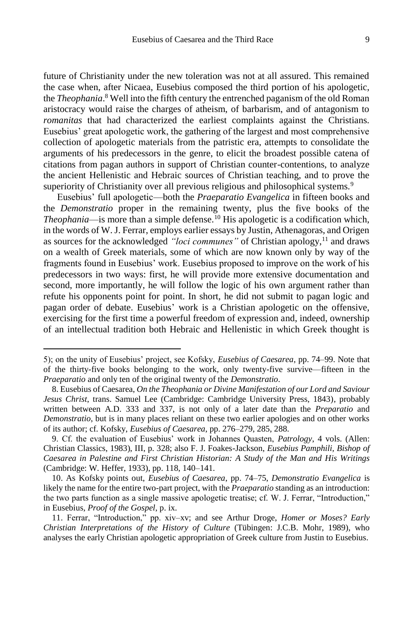future of Christianity under the new toleration was not at all assured. This remained the case when, after Nicaea, Eusebius composed the third portion of his apologetic, the *Theophania*. <sup>8</sup> Well into the fifth century the entrenched paganism of the old Roman aristocracy would raise the charges of atheism, of barbarism, and of antagonism to *romanitas* that had characterized the earliest complaints against the Christians. Eusebius' great apologetic work, the gathering of the largest and most comprehensive collection of apologetic materials from the patristic era, attempts to consolidate the arguments of his predecessors in the genre, to elicit the broadest possible catena of citations from pagan authors in support of Christian counter-contentions, to analyze the ancient Hellenistic and Hebraic sources of Christian teaching, and to prove the superiority of Christianity over all previous religious and philosophical systems.<sup>9</sup>

Eusebius' full apologetic—both the *Praeparatio Evangelica* in fifteen books and the *Demonstratio* proper in the remaining twenty, plus the five books of the *Theophania*—is more than a simple defense.<sup>10</sup> His apologetic is a codification which, in the words of W. J. Ferrar, employs earlier essays by Justin, Athenagoras, and Origen as sources for the acknowledged *"loci communes"* of Christian apology,<sup>11</sup> and draws on a wealth of Greek materials, some of which are now known only by way of the fragments found in Eusebius' work. Eusebius proposed to improve on the work of his predecessors in two ways: first, he will provide more extensive documentation and second, more importantly, he will follow the logic of his own argument rather than refute his opponents point for point. In short, he did not submit to pagan logic and pagan order of debate. Eusebius' work is a Christian apologetic on the offensive, exercising for the first time a powerful freedom of expression and, indeed, ownership of an intellectual tradition both Hebraic and Hellenistic in which Greek thought is

<sup>5);</sup> on the unity of Eusebius' project, see Kofsky, *Eusebius of Caesarea*, pp. 74–99. Note that of the thirty-five books belonging to the work, only twenty-five survive—fifteen in the *Praeparatio* and only ten of the original twenty of the *Demonstratio*.

<sup>8.</sup> Eusebius of Caesarea, *On the Theophania or Divine Manifestation of our Lord and Saviour Jesus Christ*, trans. Samuel Lee (Cambridge: Cambridge University Press, 1843), probably written between A.D. 333 and 337, is not only of a later date than the *Preparatio* and *Demonstratio*, but is in many places reliant on these two earlier apologies and on other works of its author; cf. Kofsky, *Eusebius of Caesarea*, pp. 276–279, 285, 288.

<sup>9.</sup> Cf. the evaluation of Eusebius' work in Johannes Quasten, *Patrology*, 4 vols. (Allen: Christian Classics, 1983), III, p. 328; also F. J. Foakes-Jackson, *Eusebius Pamphili, Bishop of Caesarea in Palestine and First Christian Historian: A Study of the Man and His Writings* (Cambridge: W. Heffer, 1933), pp. 118, 140–141.

<sup>10.</sup> As Kofsky points out, *Eusebius of Caesarea*, pp. 74–75, *Demonstratio Evangelica* is likely the name for the entire two-part project, with the *Praeparatio* standing as an introduction: the two parts function as a single massive apologetic treatise; cf. W. J. Ferrar, "Introduction," in Eusebius, *Proof of the Gospel*, p. ix.

<sup>11.</sup> Ferrar, "Introduction," pp. xiv–xv; and see Arthur Droge, *Homer or Moses? Early Christian Interpretations of the History of Culture* (Tübingen: J.C.B. Mohr, 1989), who analyses the early Christian apologetic appropriation of Greek culture from Justin to Eusebius.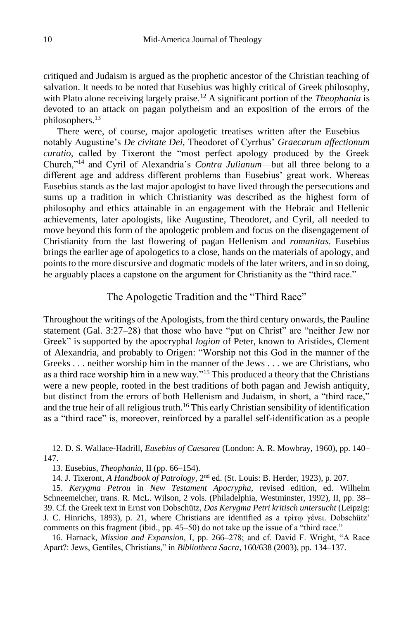critiqued and Judaism is argued as the prophetic ancestor of the Christian teaching of salvation. It needs to be noted that Eusebius was highly critical of Greek philosophy, with Plato alone receiving largely praise.<sup>12</sup> A significant portion of the *Theophania* is devoted to an attack on pagan polytheism and an exposition of the errors of the philosophers.<sup>13</sup>

There were, of course, major apologetic treatises written after the Eusebius notably Augustine's *De civitate Dei,* Theodoret of Cyrrhus' *Graecarum affectionum curatio,* called by Tixeront the "most perfect apology produced by the Greek Church,"<sup>14</sup> and Cyril of Alexandria's *Contra Julianum*—but all three belong to a different age and address different problems than Eusebius' great work. Whereas Eusebius stands as the last major apologist to have lived through the persecutions and sums up a tradition in which Christianity was described as the highest form of philosophy and ethics attainable in an engagement with the Hebraic and Hellenic achievements, later apologists, like Augustine, Theodoret, and Cyril, all needed to move beyond this form of the apologetic problem and focus on the disengagement of Christianity from the last flowering of pagan Hellenism and *romanitas.* Eusebius brings the earlier age of apologetics to a close, hands on the materials of apology, and points to the more discursive and dogmatic models of the later writers, and in so doing, he arguably places a capstone on the argument for Christianity as the "third race."

# The Apologetic Tradition and the "Third Race"

Throughout the writings of the Apologists, from the third century onwards, the Pauline statement (Gal. 3:27–28) that those who have "put on Christ" are "neither Jew nor Greek" is supported by the apocryphal *logion* of Peter, known to Aristides, Clement of Alexandria, and probably to Origen: "Worship not this God in the manner of the Greeks . . . neither worship him in the manner of the Jews . . . we are Christians, who as a third race worship him in a new way."<sup>15</sup> This produced a theory that the Christians were a new people, rooted in the best traditions of both pagan and Jewish antiquity, but distinct from the errors of both Hellenism and Judaism, in short, a "third race," and the true heir of all religious truth.<sup>16</sup> This early Christian sensibility of identification as a "third race" is, moreover, reinforced by a parallel self-identification as a people

<sup>12.</sup> D. S. Wallace-Hadrill, *Eusebius of Caesarea* (London: A. R. Mowbray, 1960), pp. 140– 147.

<sup>13.</sup> Eusebius, *Theophania*, II (pp. 66–154).

<sup>14.</sup> J. Tixeront, *A Handbook of Patrology*, 2nd ed. (St. Louis: B. Herder, 1923), p. 207.

<sup>15.</sup> *Kerygma Petrou* in *New Testament Apocrypha,* revised edition, ed. Wilhelm Schneemelcher, trans. R. McL. Wilson, 2 vols. (Philadelphia, Westminster, 1992), II, pp. 38– 39. Cf. the Greek text in Ernst von Dobschütz, *Das Kerygma Petri kritisch untersucht* (Leipzig: J. C. Hinrichs, 1893), p. 21, where Christians are identified as a τρἰτῳ γἐνει. Dobschütz' comments on this fragment (ibid., pp. 45–50) do not take up the issue of a "third race."

<sup>16.</sup> Harnack, *Mission and Expansion,* I, pp. 266–278; and cf. David F. Wright, "A Race Apart?: Jews, Gentiles, Christians," in *Bibliotheca Sacra*, 160/638 (2003), pp. 134–137.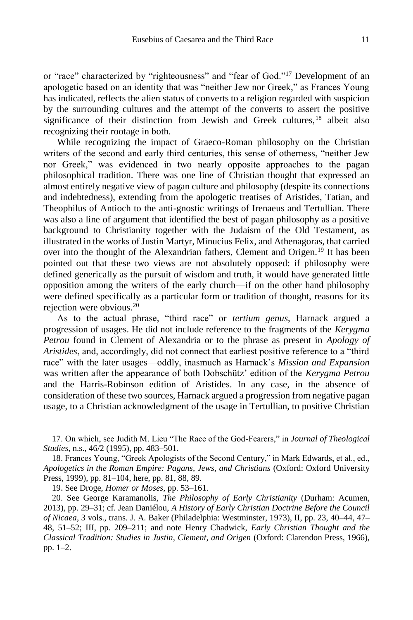or "race" characterized by "righteousness" and "fear of God."<sup>17</sup> Development of an apologetic based on an identity that was "neither Jew nor Greek," as Frances Young has indicated, reflects the alien status of converts to a religion regarded with suspicion by the surrounding cultures and the attempt of the converts to assert the positive significance of their distinction from Jewish and Greek cultures,<sup>18</sup> albeit also recognizing their rootage in both.

While recognizing the impact of Graeco-Roman philosophy on the Christian writers of the second and early third centuries, this sense of otherness, "neither Jew nor Greek," was evidenced in two nearly opposite approaches to the pagan philosophical tradition. There was one line of Christian thought that expressed an almost entirely negative view of pagan culture and philosophy (despite its connections and indebtedness), extending from the apologetic treatises of Aristides, Tatian, and Theophilus of Antioch to the anti-gnostic writings of Irenaeus and Tertullian. There was also a line of argument that identified the best of pagan philosophy as a positive background to Christianity together with the Judaism of the Old Testament, as illustrated in the works of Justin Martyr, Minucius Felix, and Athenagoras, that carried over into the thought of the Alexandrian fathers, Clement and Origen.<sup>19</sup> It has been pointed out that these two views are not absolutely opposed: if philosophy were defined generically as the pursuit of wisdom and truth, it would have generated little opposition among the writers of the early church—if on the other hand philosophy were defined specifically as a particular form or tradition of thought, reasons for its rejection were obvious.<sup>20</sup>

As to the actual phrase, "third race" or *tertium genus*, Harnack argued a progression of usages. He did not include reference to the fragments of the *Kerygma Petrou* found in Clement of Alexandria or to the phrase as present in *Apology of Aristides*, and, accordingly, did not connect that earliest positive reference to a "third race" with the later usages—oddly, inasmuch as Harnack's *Mission and Expansion* was written after the appearance of both Dobschütz' edition of the *Kerygma Petrou* and the Harris-Robinson edition of Aristides. In any case, in the absence of consideration of these two sources, Harnack argued a progression from negative pagan usage, to a Christian acknowledgment of the usage in Tertullian, to positive Christian

<sup>17.</sup> On which, see Judith M. Lieu "The Race of the God-Fearers," in *Journal of Theological Studies*, n.s., 46/2 (1995), pp. 483–501.

<sup>18.</sup> Frances Young, "Greek Apologists of the Second Century," in Mark Edwards, et al., ed., *Apologetics in the Roman Empire: Pagans, Jews, and Christians* (Oxford: Oxford University Press, 1999), pp. 81–104, here, pp. 81, 88, 89.

<sup>19</sup>. See Droge, *Homer or Moses*, pp. 53–161.

<sup>20.</sup> See George Karamanolis, *The Philosophy of Early Christianity* (Durham: Acumen, 2013), pp. 29–31; cf. Jean Daniélou, *A History of Early Christian Doctrine Before the Council of Nicaea*, 3 vols., trans. J. A. Baker (Philadelphia: Westminster, 1973), II, pp. 23, 40–44, 47– 48, 51–52; III, pp. 209–211; and note Henry Chadwick, *Early Christian Thought and the Classical Tradition: Studies in Justin, Clement, and Origen* (Oxford: Clarendon Press, 1966), pp. 1–2.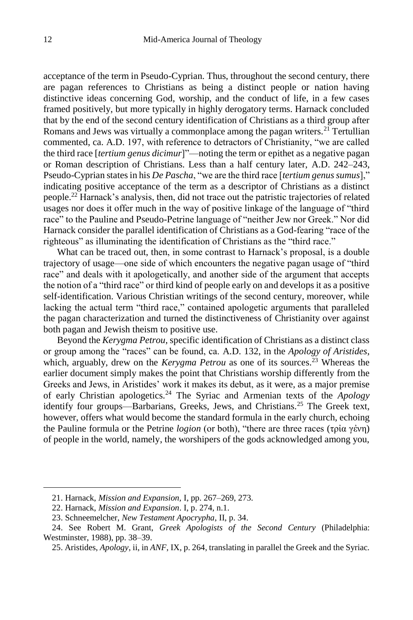acceptance of the term in Pseudo-Cyprian. Thus, throughout the second century, there are pagan references to Christians as being a distinct people or nation having distinctive ideas concerning God, worship, and the conduct of life, in a few cases framed positively, but more typically in highly derogatory terms. Harnack concluded that by the end of the second century identification of Christians as a third group after Romans and Jews was virtually a commonplace among the pagan writers.<sup>21</sup> Tertullian commented, ca. A.D. 197, with reference to detractors of Christianity, "we are called the third race [*tertium genus dicimur*]"—noting the term or epithet as a negative pagan or Roman description of Christians. Less than a half century later, A.D. 242–243, Pseudo-Cyprian states in his *De Pascha*, "we are the third race [*tertium genus sumus*]," indicating positive acceptance of the term as a descriptor of Christians as a distinct people.<sup>22</sup> Harnack's analysis, then, did not trace out the patristic trajectories of related usages nor does it offer much in the way of positive linkage of the language of "third race" to the Pauline and Pseudo-Petrine language of "neither Jew nor Greek." Nor did Harnack consider the parallel identification of Christians as a God-fearing "race of the righteous" as illuminating the identification of Christians as the "third race."

What can be traced out, then, in some contrast to Harnack's proposal, is a double trajectory of usage—one side of which encounters the negative pagan usage of "third race" and deals with it apologetically, and another side of the argument that accepts the notion of a "third race" or third kind of people early on and develops it as a positive self-identification. Various Christian writings of the second century, moreover, while lacking the actual term "third race," contained apologetic arguments that paralleled the pagan characterization and turned the distinctiveness of Christianity over against both pagan and Jewish theism to positive use.

Beyond the *Kerygma Petrou*, specific identification of Christians as a distinct class or group among the "races" can be found, ca. A.D. 132, in the *Apology of Aristides*, which, arguably, drew on the *Kerygma Petrou* as one of its sources.<sup>23</sup> Whereas the earlier document simply makes the point that Christians worship differently from the Greeks and Jews, in Aristides' work it makes its debut, as it were, as a major premise of early Christian apologetics.<sup>24</sup> The Syriac and Armenian texts of the *Apology* identify four groups—Barbarians, Greeks, Jews, and Christians.<sup>25</sup> The Greek text, however, offers what would become the standard formula in the early church, echoing the Pauline formula or the Petrine *logion* (or both), "there are three races (τρἰα γἐνη) of people in the world, namely, the worshipers of the gods acknowledged among you,

<sup>21.</sup> Harnack, *Mission and Expansion,* I, pp. 267–269, 273.

<sup>22.</sup> Harnack, *Mission and Expansion*. I, p. 274, n.1.

<sup>23.</sup> Schneemelcher, *New Testament Apocrypha*, II, p. 34.

<sup>24.</sup> See Robert M. Grant, *Greek Apologists of the Second Century* (Philadelphia: Westminster, 1988), pp. 38–39.

<sup>25.</sup> Aristides, *Apology*, ii, in *ANF*, IX, p. 264, translating in parallel the Greek and the Syriac.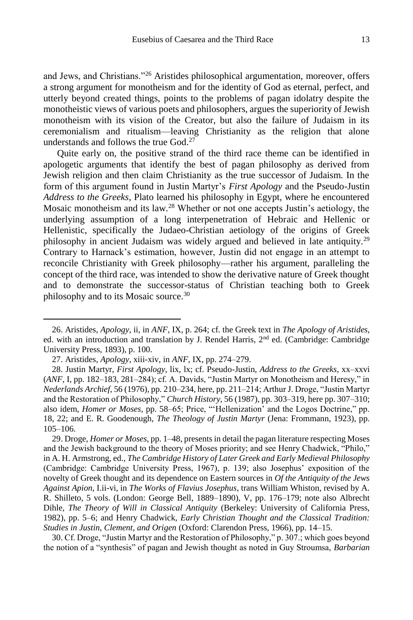and Jews, and Christians."<sup>26</sup> Aristides philosophical argumentation, moreover, offers a strong argument for monotheism and for the identity of God as eternal, perfect, and utterly beyond created things, points to the problems of pagan idolatry despite the monotheistic views of various poets and philosophers, argues the superiority of Jewish monotheism with its vision of the Creator, but also the failure of Judaism in its ceremonialism and ritualism—leaving Christianity as the religion that alone understands and follows the true God.<sup>27</sup>

Quite early on, the positive strand of the third race theme can be identified in apologetic arguments that identify the best of pagan philosophy as derived from Jewish religion and then claim Christianity as the true successor of Judaism. In the form of this argument found in Justin Martyr's *First Apology* and the Pseudo-Justin *Address to the Greeks*, Plato learned his philosophy in Egypt, where he encountered Mosaic monotheism and its law.<sup>28</sup> Whether or not one accepts Justin's aetiology, the underlying assumption of a long interpenetration of Hebraic and Hellenic or Hellenistic, specifically the Judaeo-Christian aetiology of the origins of Greek philosophy in ancient Judaism was widely argued and believed in late antiquity.<sup>29</sup> Contrary to Harnack's estimation, however, Justin did not engage in an attempt to reconcile Christianity with Greek philosophy—rather his argument, paralleling the concept of the third race, was intended to show the derivative nature of Greek thought and to demonstrate the successor-status of Christian teaching both to Greek philosophy and to its Mosaic source.<sup>30</sup>

 $\overline{a}$ 

30. Cf. Droge, "Justin Martyr and the Restoration of Philosophy," p. 307.; which goes beyond the notion of a "synthesis" of pagan and Jewish thought as noted in Guy Stroumsa, *Barbarian* 

<sup>26.</sup> Aristides, *Apology*, ii, in *ANF*, IX, p. 264; cf. the Greek text in *The Apology of Aristides*, ed. with an introduction and translation by J. Rendel Harris, 2nd ed. (Cambridge: Cambridge University Press, 1893), p. 100.

<sup>27.</sup> Aristides, *Apology*, xiii-xiv, in *ANF*, IX, pp. 274–279.

<sup>28.</sup> Justin Martyr, *First Apology*, lix, lx; cf. Pseudo-Justin, *Address to the Greeks*, xx–xxvi (*ANF*, I, pp. 182–183, 281–284); cf. A. Davids, "Justin Martyr on Monotheism and Heresy," in *Nederlands Archief*, 56 (1976), pp. 210–234, here, pp. 211–214; Arthur J. Droge, "Justin Martyr and the Restoration of Philosophy," *Church History*, 56 (1987), pp. 303–319, here pp. 307–310; also idem, *Homer or Moses*, pp. 58–65; Price, "'Hellenization' and the Logos Doctrine," pp. 18, 22; and E. R. Goodenough, *The Theology of Justin Martyr* (Jena: Frommann, 1923), pp. 105–106.

<sup>29.</sup> Droge, *Homer or Moses*, pp. 1–48, presents in detail the pagan literature respecting Moses and the Jewish background to the theory of Moses priority; and see Henry Chadwick, "Philo," in A. H. Armstrong, ed., *The Cambridge History of Later Greek and Early Medieval Philosophy* (Cambridge: Cambridge University Press, 1967), p. 139; also Josephus' exposition of the novelty of Greek thought and its dependence on Eastern sources in *Of the Antiquity of the Jews Against Apion*, I.ii-vi, in *The Works of Flavius Josephus*, trans William Whiston, revised by A. R. Shilleto, 5 vols. (London: George Bell, 1889–1890), V, pp. 176–179; note also Albrecht Dihle, *The Theory of Will in Classical Antiquity* (Berkeley: University of California Press, 1982), pp. 5–6; and Henry Chadwick, *Early Christian Thought and the Classical Tradition: Studies in Justin, Clement, and Origen* (Oxford: Clarendon Press, 1966), pp. 14–15.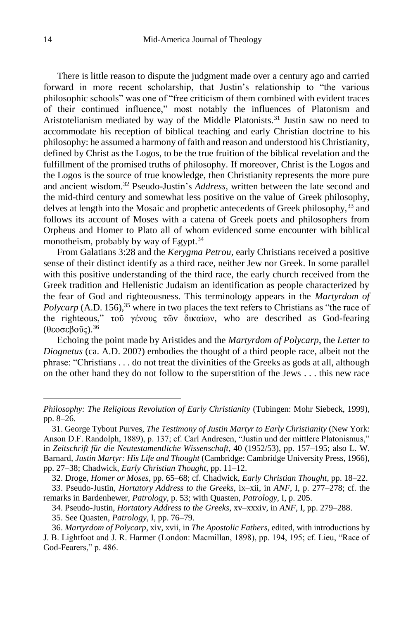There is little reason to dispute the judgment made over a century ago and carried forward in more recent scholarship, that Justin's relationship to "the various philosophic schools" was one of "free criticism of them combined with evident traces of their continued influence," most notably the influences of Platonism and Aristotelianism mediated by way of the Middle Platonists.<sup>31</sup> Justin saw no need to accommodate his reception of biblical teaching and early Christian doctrine to his philosophy: he assumed a harmony of faith and reason and understood his Christianity, defined by Christ as the Logos, to be the true fruition of the biblical revelation and the fulfillment of the promised truths of philosophy. If moreover, Christ is the Logos and the Logos is the source of true knowledge, then Christianity represents the more pure and ancient wisdom.<sup>32</sup> Pseudo-Justin's *Address*, written between the late second and the mid-third century and somewhat less positive on the value of Greek philosophy, delves at length into the Mosaic and prophetic antecedents of Greek philosophy, 33 and follows its account of Moses with a catena of Greek poets and philosophers from Orpheus and Homer to Plato all of whom evidenced some encounter with biblical monotheism, probably by way of Egypt.<sup>34</sup>

From Galatians 3:28 and the *Kerygma Petrou*, early Christians received a positive sense of their distinct identify as a third race, neither Jew nor Greek. In some parallel with this positive understanding of the third race, the early church received from the Greek tradition and Hellenistic Judaism an identification as people characterized by the fear of God and righteousness. This terminology appears in the *Martyrdom of Polycarp* (A.D. 156),<sup>35</sup> where in two places the text refers to Christians as "the race of the righteous," τοῦ γένους τῶν δικαίων, who are described as God-fearing (θεοσεβοῦς). 36

Echoing the point made by Aristides and the *Martyrdom of Polycarp*, the *Letter to Diognetus* (ca. A.D. 200?) embodies the thought of a third people race, albeit not the phrase: "Christians . . . do not treat the divinities of the Greeks as gods at all, although on the other hand they do not follow to the superstition of the Jews . . . this new race

*Philosophy: The Religious Revolution of Early Christianity* (Tubingen: Mohr Siebeck, 1999), pp. 8–26.

<sup>31.</sup> George Tybout Purves, *The Testimony of Justin Martyr to Early Christianity* (New York: Anson D.F. Randolph, 1889), p. 137; cf. Carl Andresen, "Justin und der mittlere Platonismus," in *Zeitschrift für die Neutestamentliche Wissenschaft*, 40 (1952/53), pp. 157–195; also L. W. Barnard, *Justin Martyr: His Life and Thought* (Cambridge: Cambridge University Press, 1966), pp. 27–38; Chadwick, *Early Christian Thought*, pp. 11–12.

<sup>32.</sup> Droge, *Homer or Moses*, pp. 65–68; cf. Chadwick, *Early Christian Thought*, pp. 18–22.

<sup>33.</sup> Pseudo-Justin, *Hortatory Address to the Greeks*, ix–xii, in *ANF*, I, p. 277–278; cf. the remarks in Bardenhewer, *Patrology*, p. 53; with Quasten, *Patrology*, I, p. 205.

<sup>34.</sup> Pseudo-Justin, *Hortatory Address to the Greeks*, xv–xxxiv, in *ANF*, I, pp. 279–288.

<sup>35.</sup> See Quasten, *Patrology*, I, pp. 76–79.

<sup>36.</sup> *Martyrdom of Polycarp*, xiv, xvii, in *The Apostolic Fathers*, edited, with introductions by J. B. Lightfoot and J. R. Harmer (London: Macmillan, 1898), pp. 194, 195; cf. Lieu, "Race of God-Fearers," p. 486.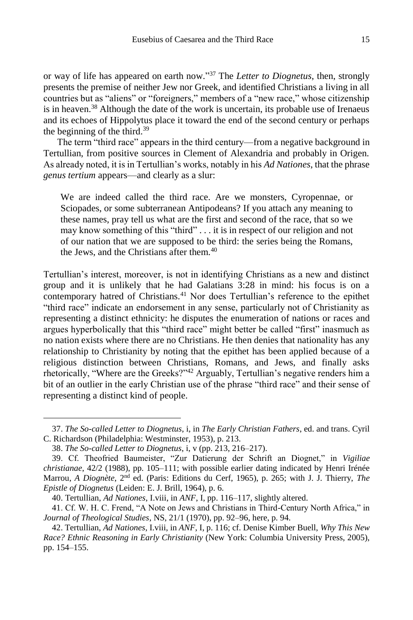or way of life has appeared on earth now." <sup>37</sup> The *Letter to Diognetus*, then, strongly presents the premise of neither Jew nor Greek, and identified Christians a living in all countries but as "aliens" or "foreigners," members of a "new race," whose citizenship is in heaven.<sup>38</sup> Although the date of the work is uncertain, its probable use of Irenaeus and its echoes of Hippolytus place it toward the end of the second century or perhaps the beginning of the third.<sup>39</sup>

The term "third race" appears in the third century—from a negative background in Tertullian, from positive sources in Clement of Alexandria and probably in Origen. As already noted, it is in Tertullian's works, notably in his *Ad Nationes*, that the phrase *genus tertium* appears—and clearly as a slur:

We are indeed called the third race. Are we monsters, Cyropennae, or Sciopades, or some subterranean Antipodeans? If you attach any meaning to these names, pray tell us what are the first and second of the race, that so we may know something of this "third" . . . it is in respect of our religion and not of our nation that we are supposed to be third: the series being the Romans, the Jews, and the Christians after them.<sup>40</sup>

Tertullian's interest, moreover, is not in identifying Christians as a new and distinct group and it is unlikely that he had Galatians 3:28 in mind: his focus is on a contemporary hatred of Christians.<sup>41</sup> Nor does Tertullian's reference to the epithet "third race" indicate an endorsement in any sense, particularly not of Christianity as representing a distinct ethnicity: he disputes the enumeration of nations or races and argues hyperbolically that this "third race" might better be called "first" inasmuch as no nation exists where there are no Christians. He then denies that nationality has any relationship to Christianity by noting that the epithet has been applied because of a religious distinction between Christians, Romans, and Jews, and finally asks rhetorically, "Where are the Greeks?"<sup>42</sup> Arguably, Tertullian's negative renders him a bit of an outlier in the early Christian use of the phrase "third race" and their sense of representing a distinct kind of people.

<sup>37.</sup> *The So-called Letter to Diognetus*, i, in *The Early Christian Fathers*, ed. and trans. Cyril C. Richardson (Philadelphia: Westminster, 1953), p. 213.

<sup>38.</sup> *The So-called Letter to Diognetus*, i, v (pp. 213, 216–217).

<sup>39.</sup> Cf. Theofried Baumeister, "Zur Datierung der Schrift an Diognet," in *Vigiliae christianae*, 42/2 (1988), pp. 105–111; with possible earlier dating indicated by Henri Irénée Marrou, *A Diognète*, 2nd ed. (Paris: Editions du Cerf, 1965), p. 265; with J. J. Thierry, *The Epistle of Diognetus* (Leiden: E. J. Brill, 1964), p. 6.

<sup>40.</sup> Tertullian, *Ad Nationes*, I.viii, in *ANF*, I, pp. 116–117, slightly altered.

<sup>41.</sup> Cf. W. H. C. Frend, "A Note on Jews and Christians in Third-Century North Africa," in *Journal of Theological Studies*, NS, 21/1 (1970), pp. 92–96, here, p. 94.

<sup>42.</sup> Tertullian, *Ad Nationes*, I.viii, in *ANF*, I, p. 116; cf. Denise Kimber Buell, *Why This New Race? Ethnic Reasoning in Early Christianity* (New York: Columbia University Press, 2005), pp. 154–155.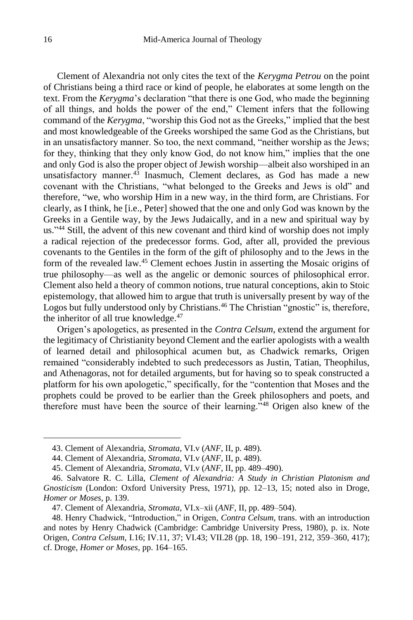Clement of Alexandria not only cites the text of the *Kerygma Petrou* on the point of Christians being a third race or kind of people, he elaborates at some length on the text. From the *Kerygma*'s declaration "that there is one God, who made the beginning of all things, and holds the power of the end," Clement infers that the following command of the *Kerygma*, "worship this God not as the Greeks," implied that the best and most knowledgeable of the Greeks worshiped the same God as the Christians, but in an unsatisfactory manner. So too, the next command, "neither worship as the Jews; for they, thinking that they only know God, do not know him," implies that the one and only God is also the proper object of Jewish worship—albeit also worshiped in an unsatisfactory manner.<sup>43</sup> Inasmuch, Clement declares, as God has made a new covenant with the Christians, "what belonged to the Greeks and Jews is old" and therefore, "we, who worship Him in a new way, in the third form, are Christians. For clearly, as I think, he [i.e., Peter] showed that the one and only God was known by the Greeks in a Gentile way, by the Jews Judaically, and in a new and spiritual way by us."<sup>44</sup> Still, the advent of this new covenant and third kind of worship does not imply a radical rejection of the predecessor forms. God, after all, provided the previous covenants to the Gentiles in the form of the gift of philosophy and to the Jews in the form of the revealed law.<sup>45</sup> Clement echoes Justin in asserting the Mosaic origins of true philosophy—as well as the angelic or demonic sources of philosophical error. Clement also held a theory of common notions, true natural conceptions, akin to Stoic epistemology, that allowed him to argue that truth is universally present by way of the Logos but fully understood only by Christians.<sup>46</sup> The Christian "gnostic" is, therefore, the inheritor of all true knowledge.<sup>47</sup>

Origen's apologetics, as presented in the *Contra Celsum*, extend the argument for the legitimacy of Christianity beyond Clement and the earlier apologists with a wealth of learned detail and philosophical acumen but, as Chadwick remarks, Origen remained "considerably indebted to such predecessors as Justin, Tatian, Theophilus, and Athenagoras, not for detailed arguments, but for having so to speak constructed a platform for his own apologetic," specifically, for the "contention that Moses and the prophets could be proved to be earlier than the Greek philosophers and poets, and therefore must have been the source of their learning."<sup>48</sup> Origen also knew of the

<sup>43.</sup> Clement of Alexandria, *Stromata*, VI.v (*ANF*, II, p. 489).

<sup>44.</sup> Clement of Alexandria, *Stromata*, VI.v (*ANF*, II, p. 489).

<sup>45.</sup> Clement of Alexandria, *Stromata*, VI.v (*ANF*, II, pp. 489–490).

<sup>46.</sup> Salvatore R. C. Lilla, *Clement of Alexandria: A Study in Christian Platonism and Gnosticism* (London: Oxford University Press, 1971), pp. 12–13, 15; noted also in Droge, *Homer or Moses*, p. 139.

<sup>47.</sup> Clement of Alexandria, *Stromata*, VI.x–xii (*ANF*, II, pp. 489–504).

<sup>48.</sup> Henry Chadwick, "Introduction," in Origen, *Contra Celsum*, trans. with an introduction and notes by Henry Chadwick (Cambridge: Cambridge University Press, 1980), p. ix. Note Origen, *Contra Celsum*, I.16; IV.11, 37; VI.43; VII.28 (pp. 18, 190–191, 212, 359–360, 417); cf. Droge, *Homer or Moses*, pp. 164–165.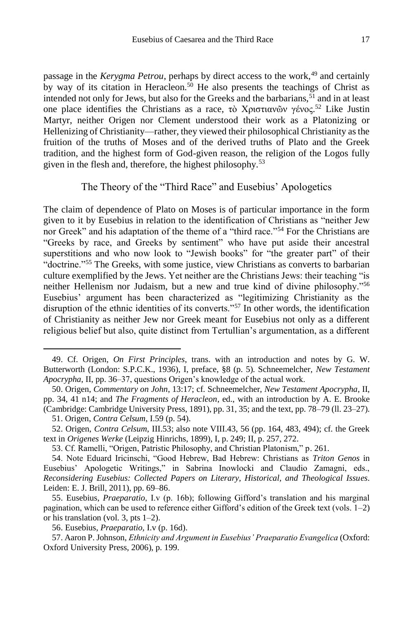passage in the *Kerygma Petrou*, perhaps by direct access to the work,<sup>49</sup> and certainly by way of its citation in Heracleon.<sup>50</sup> He also presents the teachings of Christ as intended not only for Jews, but also for the Greeks and the barbarians,  $51$  and in at least one place identifies the Christians as a race, τὸ Χριστιανῶν γένος. <sup>52</sup> Like Justin Martyr, neither Origen nor Clement understood their work as a Platonizing or Hellenizing of Christianity—rather, they viewed their philosophical Christianity as the fruition of the truths of Moses and of the derived truths of Plato and the Greek tradition, and the highest form of God-given reason, the religion of the Logos fully given in the flesh and, therefore, the highest philosophy.<sup>53</sup>

## The Theory of the "Third Race" and Eusebius' Apologetics

The claim of dependence of Plato on Moses is of particular importance in the form given to it by Eusebius in relation to the identification of Christians as "neither Jew nor Greek" and his adaptation of the theme of a "third race."<sup>54</sup> For the Christians are "Greeks by race, and Greeks by sentiment" who have put aside their ancestral superstitions and who now look to "Jewish books" for "the greater part" of their "doctrine."<sup>55</sup> The Greeks, with some justice, view Christians as converts to barbarian culture exemplified by the Jews. Yet neither are the Christians Jews: their teaching "is neither Hellenism nor Judaism, but a new and true kind of divine philosophy."<sup>56</sup> Eusebius' argument has been characterized as "legitimizing Christianity as the disruption of the ethnic identities of its converts."<sup>57</sup> In other words, the identification of Christianity as neither Jew nor Greek meant for Eusebius not only as a different religious belief but also, quite distinct from Tertullian's argumentation, as a different

 $\overline{a}$ 

53. Cf. Ramelli, "Origen, Patristic Philosophy, and Christian Platonism," p. 261.

<sup>49.</sup> Cf. Origen, *On First Principles*, trans. with an introduction and notes by G. W. Butterworth (London: S.P.C.K., 1936), I, preface, §8 (p. 5). Schneemelcher, *New Testament Apocrypha*, II, pp. 36–37, questions Origen's knowledge of the actual work.

<sup>50.</sup> Origen, *Commentary on John*, 13:17; cf. Schneemelcher, *New Testament Apocrypha*, II, pp. 34, 41 n14; and *The Fragments of Heracleon*, ed., with an introduction by A. E. Brooke (Cambridge: Cambridge University Press, 1891), pp. 31, 35; and the text, pp. 78–79 (ll. 23–27).

<sup>51.</sup> Origen, *Contra Celsum*, I.59 (p. 54).

<sup>52.</sup> Origen, *Contra Celsum*, III.53; also note VIII.43, 56 (pp. 164, 483, 494); cf. the Greek text in *Origenes Werke* (Leipzig Hinrichs, 1899), I, p. 249; II, p. 257, 272.

<sup>54.</sup> Note Eduard Iricinschi, "Good Hebrew, Bad Hebrew: Christians as *Triton Genos* in Eusebius' Apologetic Writings," in Sabrina Inowlocki and Claudio Zamagni, eds., *Reconsidering Eusebius: Collected Papers on Literary, Historical, and Theological Issues*. Leiden: E. J. Brill, 2011), pp. 69–86.

<sup>55.</sup> Eusebius, *Praeparatio,* I.v (p. 16b); following Gifford's translation and his marginal pagination, which can be used to reference either Gifford's edition of the Greek text (vols. 1–2) or his translation (vol. 3, pts 1–2).

<sup>56.</sup> Eusebius, *Praeparatio,* I.v (p. 16d).

<sup>57.</sup> Aaron P. Johnson, *Ethnicity and Argument in Eusebius' Praeparatio Evangelica* (Oxford: Oxford University Press, 2006), p. 199.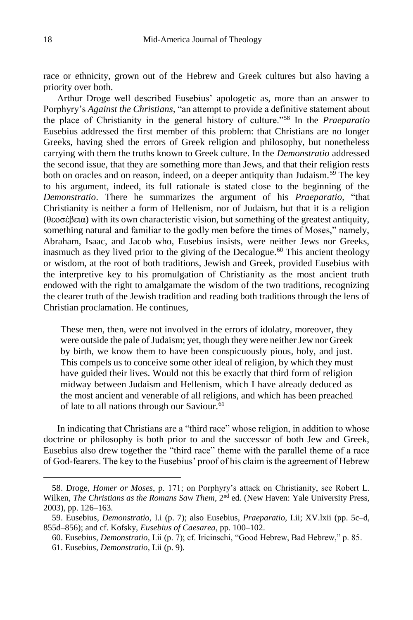race or ethnicity, grown out of the Hebrew and Greek cultures but also having a priority over both.

Arthur Droge well described Eusebius' apologetic as, more than an answer to Porphyry's *Against the Christians*, "an attempt to provide a definitive statement about the place of Christianity in the general history of culture."<sup>58</sup> In the *Praeparatio* Eusebius addressed the first member of this problem: that Christians are no longer Greeks, having shed the errors of Greek religion and philosophy, but nonetheless carrying with them the truths known to Greek culture. In the *Demonstratio* addressed the second issue, that they are something more than Jews, and that their religion rests both on oracles and on reason, indeed, on a deeper antiquity than Judaism.<sup>59</sup> The key to his argument, indeed, its full rationale is stated close to the beginning of the *Demonstratio*. There he summarizes the argument of his *Praeparatio*, "that Christianity is neither a form of Hellenism, nor of Judaism, but that it is a religion (θεοσέβεια) with its own characteristic vision, but something of the greatest antiquity, something natural and familiar to the godly men before the times of Moses," namely, Abraham, Isaac, and Jacob who, Eusebius insists, were neither Jews nor Greeks, inasmuch as they lived prior to the giving of the Decalogue.<sup>60</sup> This ancient theology or wisdom, at the root of both traditions, Jewish and Greek, provided Eusebius with the interpretive key to his promulgation of Christianity as the most ancient truth endowed with the right to amalgamate the wisdom of the two traditions, recognizing the clearer truth of the Jewish tradition and reading both traditions through the lens of Christian proclamation. He continues,

These men, then, were not involved in the errors of idolatry, moreover, they were outside the pale of Judaism; yet, though they were neither Jew nor Greek by birth, we know them to have been conspicuously pious, holy, and just. This compels us to conceive some other ideal of religion, by which they must have guided their lives. Would not this be exactly that third form of religion midway between Judaism and Hellenism, which I have already deduced as the most ancient and venerable of all religions, and which has been preached of late to all nations through our Saviour.<sup>61</sup>

In indicating that Christians are a "third race" whose religion, in addition to whose doctrine or philosophy is both prior to and the successor of both Jew and Greek, Eusebius also drew together the "third race" theme with the parallel theme of a race of God-fearers. The key to the Eusebius' proof of his claim is the agreement of Hebrew

<sup>58.</sup> Droge, *Homer or Moses*, p. 171; on Porphyry's attack on Christianity, see Robert L. Wilken, *The Christians as the Romans Saw Them*, 2nd ed. (New Haven: Yale University Press, 2003), pp. 126–163.

<sup>59.</sup> Eusebius, *Demonstratio,* I.i (p. 7); also Eusebius, *Praeparatio,* I.ii; XV.lxii (pp. 5c–d, 855d–856); and cf. Kofsky, *Eusebius of Caesarea*, pp. 100–102.

<sup>60.</sup> Eusebius, *Demonstratio,* I.ii (p. 7); cf. Iricinschi, "Good Hebrew, Bad Hebrew," p. 85.

<sup>61.</sup> Eusebius, *Demonstratio,* I.ii (p. 9).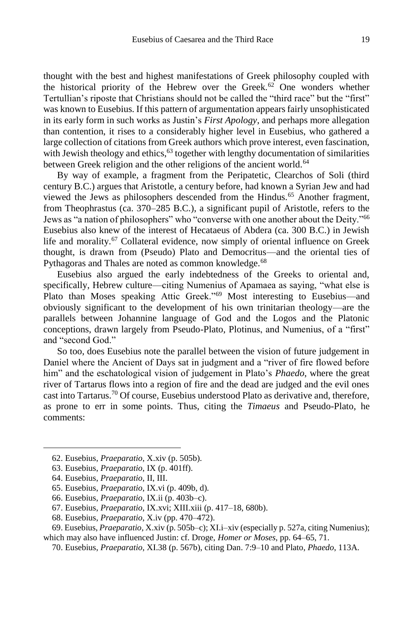thought with the best and highest manifestations of Greek philosophy coupled with the historical priority of the Hebrew over the Greek.<sup>62</sup> One wonders whether Tertullian's riposte that Christians should not be called the "third race" but the "first" was known to Eusebius. If this pattern of argumentation appears fairly unsophisticated in its early form in such works as Justin's *First Apology*, and perhaps more allegation than contention, it rises to a considerably higher level in Eusebius, who gathered a large collection of citations from Greek authors which prove interest, even fascination, with Jewish theology and ethics, $63$  together with lengthy documentation of similarities between Greek religion and the other religions of the ancient world.<sup>64</sup>

By way of example, a fragment from the Peripatetic, Clearchos of Soli (third century B.C.) argues that Aristotle, a century before, had known a Syrian Jew and had viewed the Jews as philosophers descended from the Hindus.<sup>65</sup> Another fragment, from Theophrastus (ca. 370–285 B.C.), a significant pupil of Aristotle, refers to the Jews as "a nation of philosophers" who "converse with one another about the Deity."<sup>66</sup> Eusebius also knew of the interest of Hecataeus of Abdera (ca. 300 B.C.) in Jewish life and morality.<sup>67</sup> Collateral evidence, now simply of oriental influence on Greek thought, is drawn from (Pseudo) Plato and Democritus—and the oriental ties of Pythagoras and Thales are noted as common knowledge.<sup>68</sup>

Eusebius also argued the early indebtedness of the Greeks to oriental and, specifically, Hebrew culture—citing Numenius of Apamaea as saying, "what else is Plato than Moses speaking Attic Greek."<sup>69</sup> Most interesting to Eusebius—and obviously significant to the development of his own trinitarian theology—are the parallels between Johannine language of God and the Logos and the Platonic conceptions, drawn largely from Pseudo-Plato, Plotinus, and Numenius, of a "first" and "second God."

So too, does Eusebius note the parallel between the vision of future judgement in Daniel where the Ancient of Days sat in judgment and a "river of fire flowed before him" and the eschatological vision of judgement in Plato's *Phaedo*, where the great river of Tartarus flows into a region of fire and the dead are judged and the evil ones cast into Tartarus.<sup>70</sup> Of course, Eusebius understood Plato as derivative and, therefore, as prone to err in some points. Thus, citing the *Timaeus* and Pseudo-Plato, he comments:

<sup>62.</sup> Eusebius, *Praeparatio*, X.xiv (p. 505b).

<sup>63.</sup> Eusebius, *Praeparatio*, IX (p. 401ff).

<sup>64.</sup> Eusebius, *Praeparatio*, II, III.

<sup>65.</sup> Eusebius, *Praeparatio*, IX.vi (p. 409b, d).

<sup>66.</sup> Eusebius, *Praeparatio*, IX.ii (p. 403b–c).

<sup>67.</sup> Eusebius, *Praeparatio*, IX.xvi; XIII.xiii (p. 417–18, 680b).

<sup>68.</sup> Eusebius, *Praeparatio*, X.iv (pp. 470–472).

<sup>69.</sup> Eusebius, *Praeparatio*, X.xiv (p. 505b–c); XI.i–xiv (especially p. 527a, citing Numenius); which may also have influenced Justin: cf. Droge, *Homer or Moses*, pp. 64–65, 71.

<sup>70.</sup> Eusebius, *Praeparatio*, XI.38 (p. 567b), citing Dan. 7:9–10 and Plato, *Phaedo*, 113A.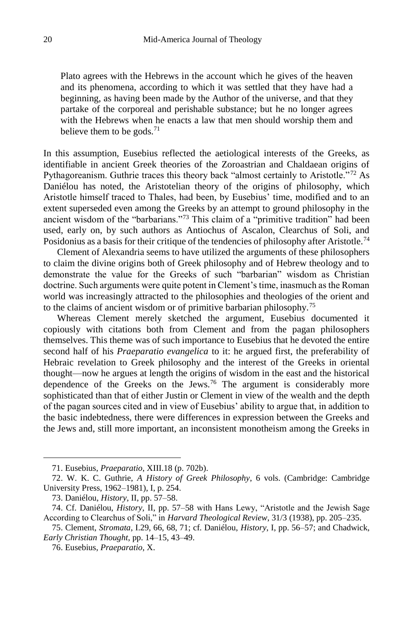Plato agrees with the Hebrews in the account which he gives of the heaven and its phenomena, according to which it was settled that they have had a beginning, as having been made by the Author of the universe, and that they partake of the corporeal and perishable substance; but he no longer agrees with the Hebrews when he enacts a law that men should worship them and believe them to be gods.<sup>71</sup>

In this assumption, Eusebius reflected the aetiological interests of the Greeks, as identifiable in ancient Greek theories of the Zoroastrian and Chaldaean origins of Pythagoreanism. Guthrie traces this theory back "almost certainly to Aristotle."<sup>72</sup> As Daniélou has noted, the Aristotelian theory of the origins of philosophy, which Aristotle himself traced to Thales, had been, by Eusebius' time, modified and to an extent superseded even among the Greeks by an attempt to ground philosophy in the ancient wisdom of the "barbarians."<sup>73</sup> This claim of a "primitive tradition" had been used, early on, by such authors as Antiochus of Ascalon, Clearchus of Soli, and Posidonius as a basis for their critique of the tendencies of philosophy after Aristotle.<sup>74</sup>

Clement of Alexandria seems to have utilized the arguments of these philosophers to claim the divine origins both of Greek philosophy and of Hebrew theology and to demonstrate the value for the Greeks of such "barbarian" wisdom as Christian doctrine. Such arguments were quite potent in Clement's time, inasmuch as the Roman world was increasingly attracted to the philosophies and theologies of the orient and to the claims of ancient wisdom or of primitive barbarian philosophy.<sup>75</sup>

Whereas Clement merely sketched the argument, Eusebius documented it copiously with citations both from Clement and from the pagan philosophers themselves. This theme was of such importance to Eusebius that he devoted the entire second half of his *Praeparatio evangelica* to it: he argued first, the preferability of Hebraic revelation to Greek philosophy and the interest of the Greeks in oriental thought—now he argues at length the origins of wisdom in the east and the historical dependence of the Greeks on the Jews.<sup>76</sup> The argument is considerably more sophisticated than that of either Justin or Clement in view of the wealth and the depth of the pagan sources cited and in view of Eusebius' ability to argue that, in addition to the basic indebtedness, there were differences in expression between the Greeks and the Jews and, still more important, an inconsistent monotheism among the Greeks in

<sup>71.</sup> Eusebius, *Praeparatio*, XIII.18 (p. 702b).

<sup>72.</sup> W. K. C. Guthrie, *A History of Greek Philosophy*, 6 vols. (Cambridge: Cambridge University Press, 1962–1981), I, p. 254.

<sup>73.</sup> Daniélou, *History*, II, pp. 57–58.

<sup>74.</sup> Cf. Daniélou, *History*, II, pp. 57–58 with Hans Lewy, "Aristotle and the Jewish Sage According to Clearchus of Soli," in *Harvard Theological Review*, 31/3 (1938), pp. 205–235.

<sup>75.</sup> Clement, *Stromata*, I.29, 66, 68, 71; cf. Daniélou, *History*, I, pp. 56–57; and Chadwick, *Early Christian Thought*, pp. 14–15, 43–49.

<sup>76.</sup> Eusebius, *Praeparatio*, X.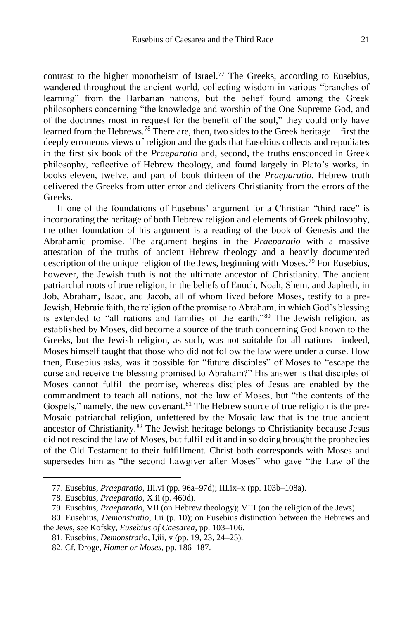contrast to the higher monotheism of Israel.<sup>77</sup> The Greeks, according to Eusebius, wandered throughout the ancient world, collecting wisdom in various "branches of learning" from the Barbarian nations, but the belief found among the Greek philosophers concerning "the knowledge and worship of the One Supreme God, and of the doctrines most in request for the benefit of the soul," they could only have learned from the Hebrews.<sup>78</sup> There are, then, two sides to the Greek heritage—first the deeply erroneous views of religion and the gods that Eusebius collects and repudiates in the first six book of the *Praeparatio* and, second, the truths ensconced in Greek philosophy, reflective of Hebrew theology, and found largely in Plato's works, in books eleven, twelve, and part of book thirteen of the *Praeparatio*. Hebrew truth delivered the Greeks from utter error and delivers Christianity from the errors of the Greeks.

If one of the foundations of Eusebius' argument for a Christian "third race" is incorporating the heritage of both Hebrew religion and elements of Greek philosophy, the other foundation of his argument is a reading of the book of Genesis and the Abrahamic promise. The argument begins in the *Praeparatio* with a massive attestation of the truths of ancient Hebrew theology and a heavily documented description of the unique religion of the Jews, beginning with Moses.<sup>79</sup> For Eusebius, however, the Jewish truth is not the ultimate ancestor of Christianity. The ancient patriarchal roots of true religion, in the beliefs of Enoch, Noah, Shem, and Japheth, in Job, Abraham, Isaac, and Jacob, all of whom lived before Moses, testify to a pre-Jewish, Hebraic faith, the religion of the promise to Abraham, in which God's blessing is extended to "all nations and families of the earth."<sup>80</sup> The Jewish religion, as established by Moses, did become a source of the truth concerning God known to the Greeks, but the Jewish religion, as such, was not suitable for all nations—indeed, Moses himself taught that those who did not follow the law were under a curse. How then, Eusebius asks, was it possible for "future disciples" of Moses to "escape the curse and receive the blessing promised to Abraham?" His answer is that disciples of Moses cannot fulfill the promise, whereas disciples of Jesus are enabled by the commandment to teach all nations, not the law of Moses, but "the contents of the Gospels," namely, the new covenant.<sup>81</sup> The Hebrew source of true religion is the pre-Mosaic patriarchal religion, unfettered by the Mosaic law that is the true ancient ancestor of Christianity.<sup>82</sup> The Jewish heritage belongs to Christianity because Jesus did not rescind the law of Moses, but fulfilled it and in so doing brought the prophecies of the Old Testament to their fulfillment. Christ both corresponds with Moses and supersedes him as "the second Lawgiver after Moses" who gave "the Law of the

<sup>77.</sup> Eusebius, *Praeparatio*, III.vi (pp. 96a–97d); III.ix–x (pp. 103b–108a).

<sup>78.</sup> Eusebius, *Praeparatio*, X.ii (p. 460d).

<sup>79.</sup> Eusebius, *Praeparatio*, VII (on Hebrew theology); VIII (on the religion of the Jews).

<sup>80.</sup> Eusebius, *Demonstratio*, I.ii (p. 10); on Eusebius distinction between the Hebrews and the Jews, see Kofsky, *Eusebius of Caesarea*, pp. 103–106.

<sup>81.</sup> Eusebius, *Demonstratio*, I,iii, v (pp. 19, 23, 24–25).

<sup>82.</sup> Cf. Droge, *Homer or Moses*, pp. 186–187.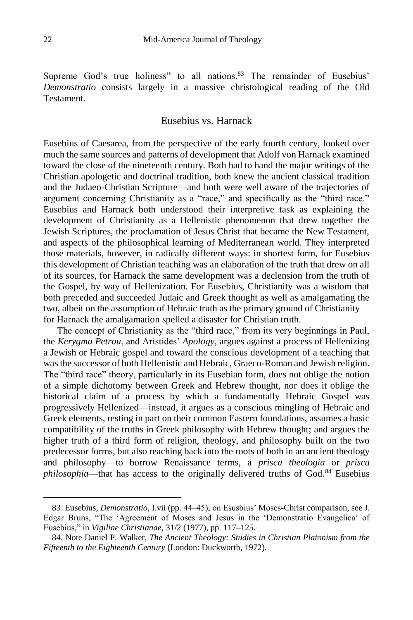Supreme God's true holiness" to all nations.<sup>83</sup> The remainder of Eusebius' *Demonstratio* consists largely in a massive christological reading of the Old Testament.

## Eusebius vs. Harnack

Eusebius of Caesarea, from the perspective of the early fourth century, looked over much the same sources and patterns of development that Adolf von Harnack examined toward the close of the nineteenth century. Both had to hand the major writings of the Christian apologetic and doctrinal tradition, both knew the ancient classical tradition and the Judaeo-Christian Scripture—and both were well aware of the trajectories of argument concerning Christianity as a "race," and specifically as the "third race." Eusebius and Harnack both understood their interpretive task as explaining the development of Christianity as a Hellenistic phenomenon that drew together the Jewish Scriptures, the proclamation of Jesus Christ that became the New Testament, and aspects of the philosophical learning of Mediterranean world. They interpreted those materials, however, in radically different ways: in shortest form, for Eusebius this development of Christian teaching was an elaboration of the truth that drew on all of its sources, for Harnack the same development was a declension from the truth of the Gospel, by way of Hellenization. For Eusebius, Christianity was a wisdom that both preceded and succeeded Judaic and Greek thought as well as amalgamating the two, albeit on the assumption of Hebraic truth as the primary ground of Christianity for Harnack the amalgamation spelled a disaster for Christian truth.

The concept of Christianity as the "third race," from its very beginnings in Paul, the *Kerygma Petrou*, and Aristides' *Apology*, argues against a process of Hellenizing a Jewish or Hebraic gospel and toward the conscious development of a teaching that was the successor of both Hellenistic and Hebraic, Graeco-Roman and Jewish religion. The "third race" theory, particularly in its Eusebian form, does not oblige the notion of a simple dichotomy between Greek and Hebrew thought, nor does it oblige the historical claim of a process by which a fundamentally Hebraic Gospel was progressively Hellenized—instead, it argues as a conscious mingling of Hebraic and Greek elements, resting in part on their common Eastern foundations, assumes a basic compatibility of the truths in Greek philosophy with Hebrew thought; and argues the higher truth of a third form of religion, theology, and philosophy built on the two predecessor forms, but also reaching back into the roots of both in an ancient theology and philosophy—to borrow Renaissance terms, a *prisca theologia* or *prisca philosophia*—that has access to the originally delivered truths of God.<sup>84</sup> Eusebius

<sup>83.</sup> Eusebius, *Demonstratio*, I.vii (pp. 44–45); on Esusbius' Moses-Christ comparison, see J. Edgar Bruns, "The 'Agreement of Moses and Jesus in the 'Demonstratio Evangelica' of Eusebius," in *Vigiliae Christianae*, 31/2 (1977), pp. 117–125.

<sup>84.</sup> Note Daniel P. Walker, *The Ancient Theology: Studies in Christian Platonism from the Fifteenth to the Eighteenth Century* (London: Duckworth, 1972).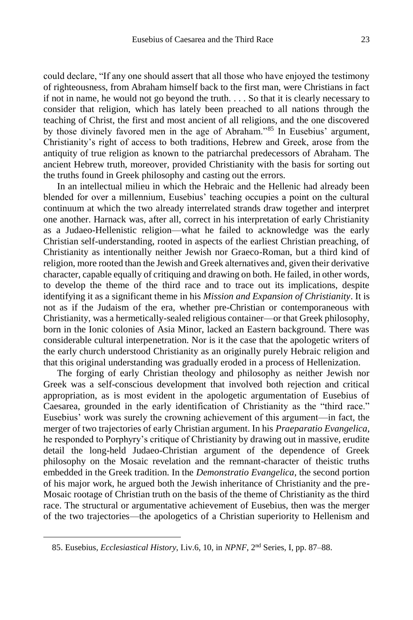could declare, "If any one should assert that all those who have enjoyed the testimony of righteousness, from Abraham himself back to the first man, were Christians in fact if not in name, he would not go beyond the truth. . . . So that it is clearly necessary to consider that religion, which has lately been preached to all nations through the teaching of Christ, the first and most ancient of all religions, and the one discovered by those divinely favored men in the age of Abraham."<sup>85</sup> In Eusebius' argument, Christianity's right of access to both traditions, Hebrew and Greek, arose from the antiquity of true religion as known to the patriarchal predecessors of Abraham. The ancient Hebrew truth, moreover, provided Christianity with the basis for sorting out the truths found in Greek philosophy and casting out the errors.

In an intellectual milieu in which the Hebraic and the Hellenic had already been blended for over a millennium, Eusebius' teaching occupies a point on the cultural continuum at which the two already interrelated strands draw together and interpret one another. Harnack was, after all, correct in his interpretation of early Christianity as a Judaeo-Hellenistic religion—what he failed to acknowledge was the early Christian self-understanding, rooted in aspects of the earliest Christian preaching, of Christianity as intentionally neither Jewish nor Graeco-Roman, but a third kind of religion, more rooted than the Jewish and Greek alternatives and, given their derivative character, capable equally of critiquing and drawing on both. He failed, in other words, to develop the theme of the third race and to trace out its implications, despite identifying it as a significant theme in his *Mission and Expansion of Christianity*. It is not as if the Judaism of the era, whether pre-Christian or contemporaneous with Christianity, was a hermetically-sealed religious container—or that Greek philosophy, born in the Ionic colonies of Asia Minor, lacked an Eastern background. There was considerable cultural interpenetration. Nor is it the case that the apologetic writers of the early church understood Christianity as an originally purely Hebraic religion and that this original understanding was gradually eroded in a process of Hellenization.

The forging of early Christian theology and philosophy as neither Jewish nor Greek was a self-conscious development that involved both rejection and critical appropriation, as is most evident in the apologetic argumentation of Eusebius of Caesarea, grounded in the early identification of Christianity as the "third race." Eusebius' work was surely the crowning achievement of this argument—in fact, the merger of two trajectories of early Christian argument. In his *Praeparatio Evangelica*, he responded to Porphyry's critique of Christianity by drawing out in massive, erudite detail the long-held Judaeo-Christian argument of the dependence of Greek philosophy on the Mosaic revelation and the remnant-character of theistic truths embedded in the Greek tradition. In the *Demonstratio Evangelica*, the second portion of his major work, he argued both the Jewish inheritance of Christianity and the pre-Mosaic rootage of Christian truth on the basis of the theme of Christianity as the third race. The structural or argumentative achievement of Eusebius, then was the merger of the two trajectories—the apologetics of a Christian superiority to Hellenism and

<sup>85.</sup> Eusebius, *Ecclesiastical History*, I.iv.6, 10, in *NPNF*, 2nd Series, I, pp. 87–88.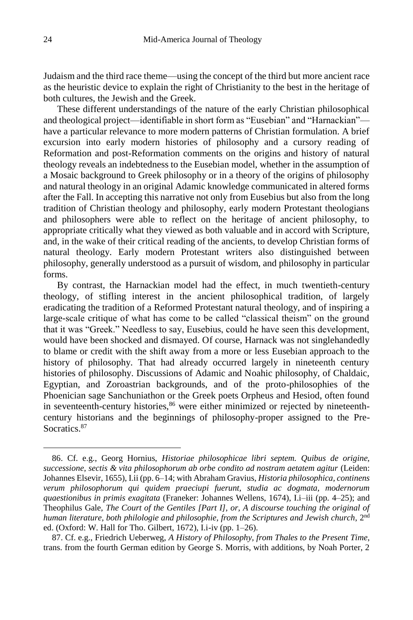Judaism and the third race theme—using the concept of the third but more ancient race as the heuristic device to explain the right of Christianity to the best in the heritage of both cultures, the Jewish and the Greek.

These different understandings of the nature of the early Christian philosophical and theological project—identifiable in short form as "Eusebian" and "Harnackian" have a particular relevance to more modern patterns of Christian formulation. A brief excursion into early modern histories of philosophy and a cursory reading of Reformation and post-Reformation comments on the origins and history of natural theology reveals an indebtedness to the Eusebian model, whether in the assumption of a Mosaic background to Greek philosophy or in a theory of the origins of philosophy and natural theology in an original Adamic knowledge communicated in altered forms after the Fall. In accepting this narrative not only from Eusebius but also from the long tradition of Christian theology and philosophy, early modern Protestant theologians and philosophers were able to reflect on the heritage of ancient philosophy, to appropriate critically what they viewed as both valuable and in accord with Scripture, and, in the wake of their critical reading of the ancients, to develop Christian forms of natural theology. Early modern Protestant writers also distinguished between philosophy, generally understood as a pursuit of wisdom, and philosophy in particular forms.

By contrast, the Harnackian model had the effect, in much twentieth-century theology, of stifling interest in the ancient philosophical tradition, of largely eradicating the tradition of a Reformed Protestant natural theology, and of inspiring a large-scale critique of what has come to be called "classical theism" on the ground that it was "Greek." Needless to say, Eusebius, could he have seen this development, would have been shocked and dismayed. Of course, Harnack was not singlehandedly to blame or credit with the shift away from a more or less Eusebian approach to the history of philosophy. That had already occurred largely in nineteenth century histories of philosophy. Discussions of Adamic and Noahic philosophy, of Chaldaic, Egyptian, and Zoroastrian backgrounds, and of the proto-philosophies of the Phoenician sage Sanchuniathon or the Greek poets Orpheus and Hesiod, often found in seventeenth-century histories,<sup>86</sup> were either minimized or rejected by nineteenthcentury historians and the beginnings of philosophy-proper assigned to the Pre-Socratics<sup>87</sup>

<sup>86.</sup> Cf. e.g., Georg Hornius, *Historiae philosophicae libri septem. Quibus de origine, successione, sectis & vita philosophorum ab orbe condito ad nostram aetatem agitur* (Leiden: Johannes Elsevir, 1655), I.ii (pp. 6–14; with Abraham Gravius, *Historia philosophica, continens verum philosophorum qui quidem praeciupi fuerunt, studia ac dogmata, modernorum quaestionibus in primis exagitata* (Franeker: Johannes Wellens, 1674), I.i–iii (pp. 4–25); and Theophilus Gale, *The Court of the Gentiles [Part I], or, A discourse touching the original of human literature, both philologie and philosophie, from the Scriptures and Jewish church*, 2nd ed. (Oxford: W. Hall for Tho. Gilbert, 1672), I.i-iv (pp. 1–26).

<sup>87.</sup> Cf. e.g., Friedrich Ueberweg, *A History of Philosophy, from Thales to the Present Time*, trans. from the fourth German edition by George S. Morris, with additions, by Noah Porter, 2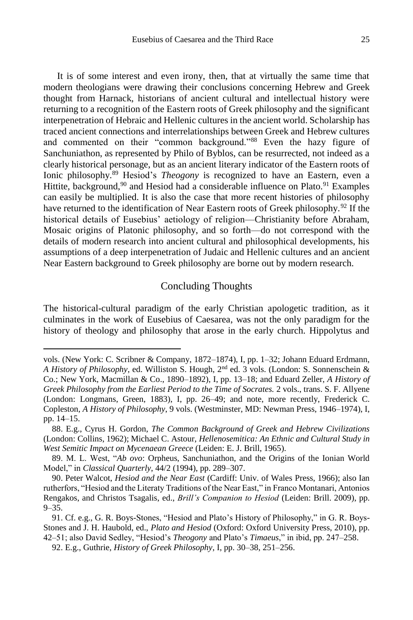It is of some interest and even irony, then, that at virtually the same time that modern theologians were drawing their conclusions concerning Hebrew and Greek thought from Harnack, historians of ancient cultural and intellectual history were returning to a recognition of the Eastern roots of Greek philosophy and the significant interpenetration of Hebraic and Hellenic cultures in the ancient world. Scholarship has traced ancient connections and interrelationships between Greek and Hebrew cultures and commented on their "common background."<sup>88</sup> Even the hazy figure of Sanchuniathon, as represented by Philo of Byblos, can be resurrected, not indeed as a clearly historical personage, but as an ancient literary indicator of the Eastern roots of Ionic philosophy.<sup>89</sup> Hesiod's *Theogony* is recognized to have an Eastern, even a Hittite, background,<sup>90</sup> and Hesiod had a considerable influence on Plato.<sup>91</sup> Examples can easily be multiplied. It is also the case that more recent histories of philosophy have returned to the identification of Near Eastern roots of Greek philosophy.<sup>92</sup> If the historical details of Eusebius' aetiology of religion—Christianity before Abraham, Mosaic origins of Platonic philosophy, and so forth—do not correspond with the details of modern research into ancient cultural and philosophical developments, his assumptions of a deep interpenetration of Judaic and Hellenic cultures and an ancient Near Eastern background to Greek philosophy are borne out by modern research.

### Concluding Thoughts

The historical-cultural paradigm of the early Christian apologetic tradition, as it culminates in the work of Eusebius of Caesarea, was not the only paradigm for the history of theology and philosophy that arose in the early church. Hippolytus and

vols. (New York: C. Scribner & Company, 1872–1874), I, pp. 1–32; Johann Eduard Erdmann, *A History of Philosophy*, ed. Williston S. Hough, 2nd ed. 3 vols. (London: S. Sonnenschein & Co.; New York, Macmillan & Co., 1890–1892), I, pp. 13–18; and Eduard Zeller, *A History of Greek Philosophy from the Earliest Period to the Time of Socrates.* 2 vols., trans. S. F. Allyene (London: Longmans, Green, 1883), I, pp. 26–49; and note, more recently, Frederick C. Copleston, *A History of Philosophy*, 9 vols. (Westminster, MD: Newman Press, 1946–1974), I, pp. 14–15.

<sup>88.</sup> E.g., Cyrus H. Gordon, *The Common Background of Greek and Hebrew Civilizations*  (London: Collins, 1962); Michael C. Astour, *Hellenosemitica: An Ethnic and Cultural Study in West Semitic Impact on Mycenaean Greece* (Leiden: E. J. Brill, 1965).

<sup>89.</sup> M. L. West, "*Ab ovo*: Orpheus, Sanchuniathon, and the Origins of the Ionian World Model," in *Classical Quarterly*, 44/2 (1994), pp. 289–307.

<sup>90.</sup> Peter Walcot, *Hesiod and the Near East* (Cardiff: Univ. of Wales Press, 1966); also Ian rutherfors, "Hesiod and the Literaty Traditions of the Near East," in Franco Montanari, Antonios Rengakos, and Christos Tsagalis, ed., *Brill's Companion to Hesiod* (Leiden: Brill. 2009), pp.  $9 - 35.$ 

<sup>91.</sup> Cf. e.g., G. R. Boys-Stones, "Hesiod and Plato's History of Philosophy," in G. R. Boys-Stones and J. H. Haubold, ed., *Plato and Hesiod* (Oxford: Oxford University Press, 2010), pp. 42–51; also David Sedley, "Hesiod's *Theogony* and Plato's *Timaeus*," in ibid, pp. 247–258.

<sup>92.</sup> E.g., Guthrie, *History of Greek Philosophy*, I, pp. 30–38, 251–256.